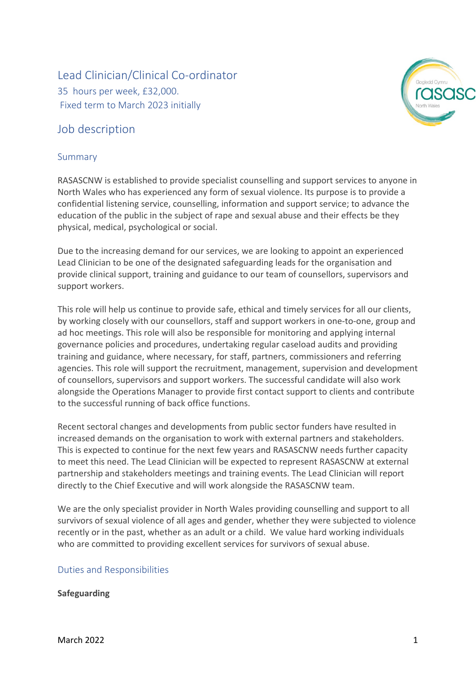# Lead Clinician/Clinical Co-ordinator 35 hours per week, £32,000. Fixed term to March 2023 initially

## Job description

#### Summary



Due to the increasing demand for our services, we are looking to appoint an experienced Lead Clinician to be one of the designated safeguarding leads for the organisation and provide clinical support, training and guidance to our team of counsellors, supervisors and support workers.

This role will help us continue to provide safe, ethical and timely services for all our clients, by working closely with our counsellors, staff and support workers in one-to-one, group and ad hoc meetings. This role will also be responsible for monitoring and applying internal governance policies and procedures, undertaking regular caseload audits and providing training and guidance, where necessary, for staff, partners, commissioners and referring agencies. This role will support the recruitment, management, supervision and development of counsellors, supervisors and support workers. The successful candidate will also work alongside the Operations Manager to provide first contact support to clients and contribute to the successful running of back office functions.

Recent sectoral changes and developments from public sector funders have resulted in increased demands on the organisation to work with external partners and stakeholders. This is expected to continue for the next few years and RASASCNW needs further capacity to meet this need. The Lead Clinician will be expected to represent RASASCNW at external partnership and stakeholders meetings and training events. The Lead Clinician will report directly to the Chief Executive and will work alongside the RASASCNW team.

We are the only specialist provider in North Wales providing counselling and support to all survivors of sexual violence of all ages and gender, whether they were subjected to violence recently or in the past, whether as an adult or a child. We value hard working individuals who are committed to providing excellent services for survivors of sexual abuse.

#### Duties and Responsibilities

#### **Safeguarding**

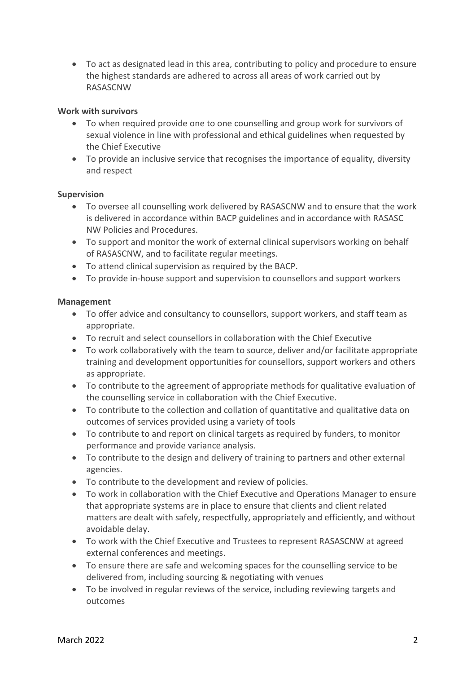• To act as designated lead in this area, contributing to policy and procedure to ensure the highest standards are adhered to across all areas of work carried out by RASASCNW

#### **Work with survivors**

- To when required provide one to one counselling and group work for survivors of sexual violence in line with professional and ethical guidelines when requested by the Chief Executive
- To provide an inclusive service that recognises the importance of equality, diversity and respect

#### **Supervision**

- To oversee all counselling work delivered by RASASCNW and to ensure that the work is delivered in accordance within BACP guidelines and in accordance with RASASC NW Policies and Procedures.
- To support and monitor the work of external clinical supervisors working on behalf of RASASCNW, and to facilitate regular meetings.
- To attend clinical supervision as required by the BACP.
- To provide in-house support and supervision to counsellors and support workers

#### **Management**

- To offer advice and consultancy to counsellors, support workers, and staff team as appropriate.
- To recruit and select counsellors in collaboration with the Chief Executive
- To work collaboratively with the team to source, deliver and/or facilitate appropriate training and development opportunities for counsellors, support workers and others as appropriate.
- To contribute to the agreement of appropriate methods for qualitative evaluation of the counselling service in collaboration with the Chief Executive.
- To contribute to the collection and collation of quantitative and qualitative data on outcomes of services provided using a variety of tools
- To contribute to and report on clinical targets as required by funders, to monitor performance and provide variance analysis.
- To contribute to the design and delivery of training to partners and other external agencies.
- To contribute to the development and review of policies.
- To work in collaboration with the Chief Executive and Operations Manager to ensure that appropriate systems are in place to ensure that clients and client related matters are dealt with safely, respectfully, appropriately and efficiently, and without avoidable delay.
- To work with the Chief Executive and Trustees to represent RASASCNW at agreed external conferences and meetings.
- To ensure there are safe and welcoming spaces for the counselling service to be delivered from, including sourcing & negotiating with venues
- To be involved in regular reviews of the service, including reviewing targets and outcomes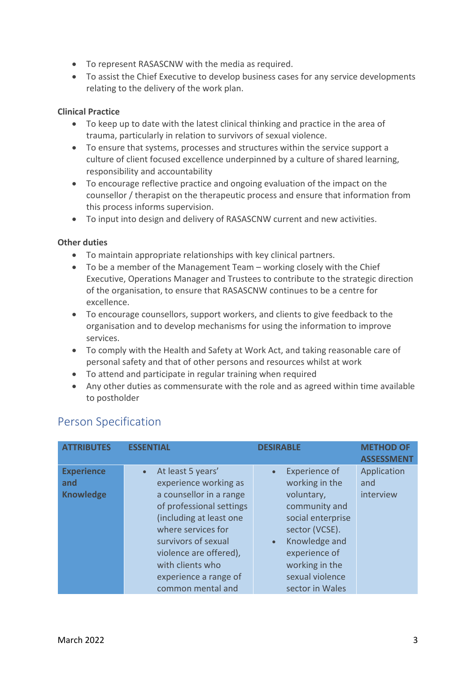- To represent RASASCNW with the media as required.
- To assist the Chief Executive to develop business cases for any service developments relating to the delivery of the work plan.

#### **Clinical Practice**

- To keep up to date with the latest clinical thinking and practice in the area of trauma, particularly in relation to survivors of sexual violence.
- To ensure that systems, processes and structures within the service support a culture of client focused excellence underpinned by a culture of shared learning, responsibility and accountability
- To encourage reflective practice and ongoing evaluation of the impact on the counsellor / therapist on the therapeutic process and ensure that information from this process informs supervision.
- To input into design and delivery of RASASCNW current and new activities.

#### **Other duties**

- To maintain appropriate relationships with key clinical partners.
- To be a member of the Management Team working closely with the Chief Executive, Operations Manager and Trustees to contribute to the strategic direction of the organisation, to ensure that RASASCNW continues to be a centre for excellence.
- To encourage counsellors, support workers, and clients to give feedback to the organisation and to develop mechanisms for using the information to improve services.
- To comply with the Health and Safety at Work Act, and taking reasonable care of personal safety and that of other persons and resources whilst at work
- To attend and participate in regular training when required
- Any other duties as commensurate with the role and as agreed within time available to postholder

| <b>ATTRIBUTES</b>                            | <b>ESSENTIAL</b>                                                                                                                                                                                                                                                      | <b>DESIRABLE</b>                                                                                                                                                                                                    | <b>METHOD OF</b><br><b>ASSESSMENT</b> |
|----------------------------------------------|-----------------------------------------------------------------------------------------------------------------------------------------------------------------------------------------------------------------------------------------------------------------------|---------------------------------------------------------------------------------------------------------------------------------------------------------------------------------------------------------------------|---------------------------------------|
| <b>Experience</b><br>and<br><b>Knowledge</b> | At least 5 years'<br>experience working as<br>a counsellor in a range<br>of professional settings<br>(including at least one<br>where services for<br>survivors of sexual<br>violence are offered),<br>with clients who<br>experience a range of<br>common mental and | <b>Experience of</b><br>working in the<br>voluntary,<br>community and<br>social enterprise<br>sector (VCSE).<br>Knowledge and<br>$\bullet$<br>experience of<br>working in the<br>sexual violence<br>sector in Wales | Application<br>and<br>interview       |

### Person Specification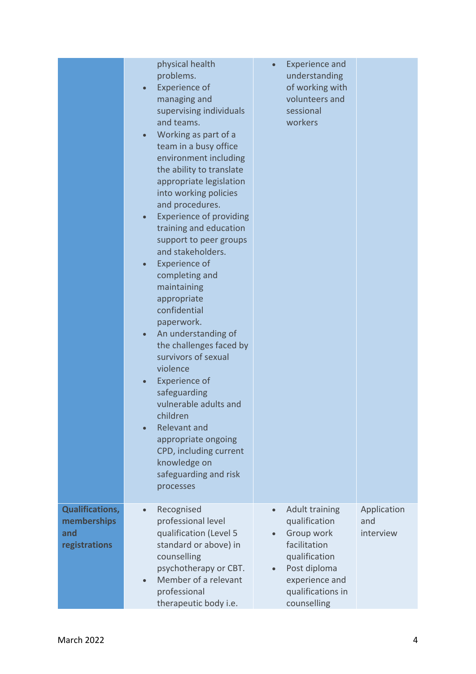|                                                               | physical health<br>problems.<br><b>Experience of</b><br>$\bullet$<br>managing and<br>supervising individuals<br>and teams.<br>Working as part of a<br>team in a busy office<br>environment including<br>the ability to translate<br>appropriate legislation<br>into working policies<br>and procedures.<br><b>Experience of providing</b><br>training and education<br>support to peer groups<br>and stakeholders.<br><b>Experience of</b><br>completing and<br>maintaining<br>appropriate<br>confidential<br>paperwork.<br>An understanding of<br>$\bullet$<br>the challenges faced by<br>survivors of sexual<br>violence<br><b>Experience of</b><br>safeguarding<br>vulnerable adults and<br>children<br><b>Relevant and</b><br>appropriate ongoing<br>CPD, including current<br>knowledge on<br>safeguarding and risk<br>processes | <b>Experience and</b><br>understanding<br>of working with<br>volunteers and<br>sessional<br>workers                                                                                   |                                 |
|---------------------------------------------------------------|---------------------------------------------------------------------------------------------------------------------------------------------------------------------------------------------------------------------------------------------------------------------------------------------------------------------------------------------------------------------------------------------------------------------------------------------------------------------------------------------------------------------------------------------------------------------------------------------------------------------------------------------------------------------------------------------------------------------------------------------------------------------------------------------------------------------------------------|---------------------------------------------------------------------------------------------------------------------------------------------------------------------------------------|---------------------------------|
| <b>Qualifications,</b><br>memberships<br>and<br>registrations | Recognised<br>$\bullet$<br>professional level<br>qualification (Level 5<br>standard or above) in<br>counselling<br>psychotherapy or CBT.<br>Member of a relevant<br>professional<br>therapeutic body i.e.                                                                                                                                                                                                                                                                                                                                                                                                                                                                                                                                                                                                                             | <b>Adult training</b><br>$\bullet$<br>qualification<br>Group work<br>facilitation<br>qualification<br>Post diploma<br>$\bullet$<br>experience and<br>qualifications in<br>counselling | Application<br>and<br>interview |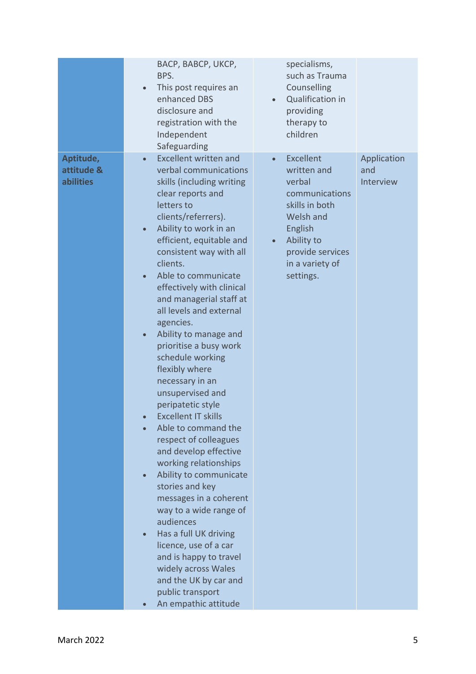|                                      | BACP, BABCP, UKCP,<br>BPS.<br>This post requires an<br>$\bullet$<br>enhanced DBS<br>disclosure and<br>registration with the<br>Independent<br>Safeguarding                                                                                                                                                                                                                                                                                                                                                                                                                                                                                                                                                                                                                                                                                                                                                                                                                        | specialisms,<br>such as Trauma<br>Counselling<br>Qualification in<br>providing<br>therapy to<br>children                                                                                                 |                          |
|--------------------------------------|-----------------------------------------------------------------------------------------------------------------------------------------------------------------------------------------------------------------------------------------------------------------------------------------------------------------------------------------------------------------------------------------------------------------------------------------------------------------------------------------------------------------------------------------------------------------------------------------------------------------------------------------------------------------------------------------------------------------------------------------------------------------------------------------------------------------------------------------------------------------------------------------------------------------------------------------------------------------------------------|----------------------------------------------------------------------------------------------------------------------------------------------------------------------------------------------------------|--------------------------|
| Aptitude,<br>attitude &<br>abilities | <b>Excellent written and</b><br>$\bullet$<br>verbal communications<br>skills (including writing<br>clear reports and<br>letters to<br>clients/referrers).<br>Ability to work in an<br>$\bullet$<br>efficient, equitable and<br>consistent way with all<br>clients.<br>Able to communicate<br>effectively with clinical<br>and managerial staff at<br>all levels and external<br>agencies.<br>Ability to manage and<br>$\bullet$<br>prioritise a busy work<br>schedule working<br>flexibly where<br>necessary in an<br>unsupervised and<br>peripatetic style<br><b>Excellent IT skills</b><br>Able to command the<br>respect of colleagues<br>and develop effective<br>working relationships<br>Ability to communicate<br>stories and key<br>messages in a coherent<br>way to a wide range of<br>audiences<br>Has a full UK driving<br>licence, use of a car<br>and is happy to travel<br>widely across Wales<br>and the UK by car and<br>public transport<br>An empathic attitude | <b>Excellent</b><br>$\bullet$<br>written and<br>and<br>verbal<br>communications<br>skills in both<br>Welsh and<br>English<br>Ability to<br>$\bullet$<br>provide services<br>in a variety of<br>settings. | Application<br>Interview |